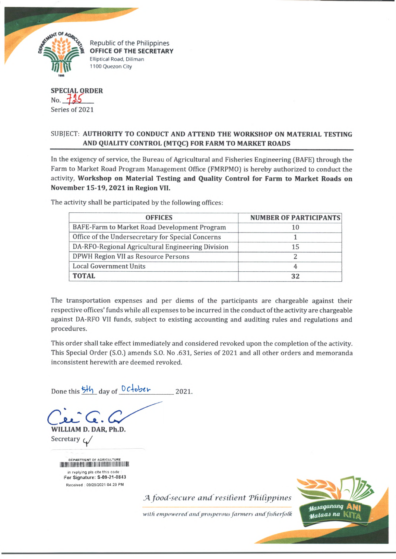

**Elliptical Road, Diliman** 1100 Quezon City

**SPECIAL ORDER** No. **125** Series of 2021

## SUBJECT: **AUTHORITY TO CONDUCT AND ATTEND THE WORKSHOP ON MATERIAL TESTING AND QUALITY CONTROL (MTQC) FOR FARM TO MARKET ROADS**

In the exigency of service, the Bureau of Agricultural and Fisheries Engineering (BAFE) through the Farm to Market Road Program Management Office (FMRPMO) is hereby authorized to conduct the activity, **Workshop on Material Testing and Quality Control for Farm to Market Roads on November 15-19,2021 in Region VII.**

The activity shall be participated by the following offices:

| <b>OFFICES</b>                                    | <b>NUMBER OF PARTICIPANTS</b> |
|---------------------------------------------------|-------------------------------|
| BAFE-Farm to Market Road Development Program      | 10                            |
| Office of the Undersecretary for Special Concerns |                               |
| DA-RFO-Regional Agricultural Engineering Division | 15                            |
| DPWH Region VII as Resource Persons               |                               |
| <b>Local Government Units</b>                     |                               |
| TOTAL                                             | 32                            |

The transportation expenses and per diems of the participants are chargeable against their respective offices' funds while ail expenses to be incurred in the conduct of the activity are chargeable against DA-RFO VII funds, subject to existing accounting and auditing rules and regulations and procedures.

This order shall take effect immediately and considered revoked upon the completion of the activity. This Special Order (S.O.) amends S.O. No .631, Series of 2021 and all other orders and memoranda inconsistent herewith are deemed revoked.

Done this  $\frac{b}{2}h$  day of  $0$ *c*<sup>l</sup>ober 2021.

*Q j l C C .* **WILLIAM D. DAR, Ph.D.**

Secretary  $\varphi$ 

DEPARTMENT OF AGRICULTURE in replying pls cite this code For Signature: S-09-21-0843 R eceived : 09/29/2021 04.29 PM

*A food-secure and resilient 'Philippines*

with empowered and prosperous farmers and fisherfolk